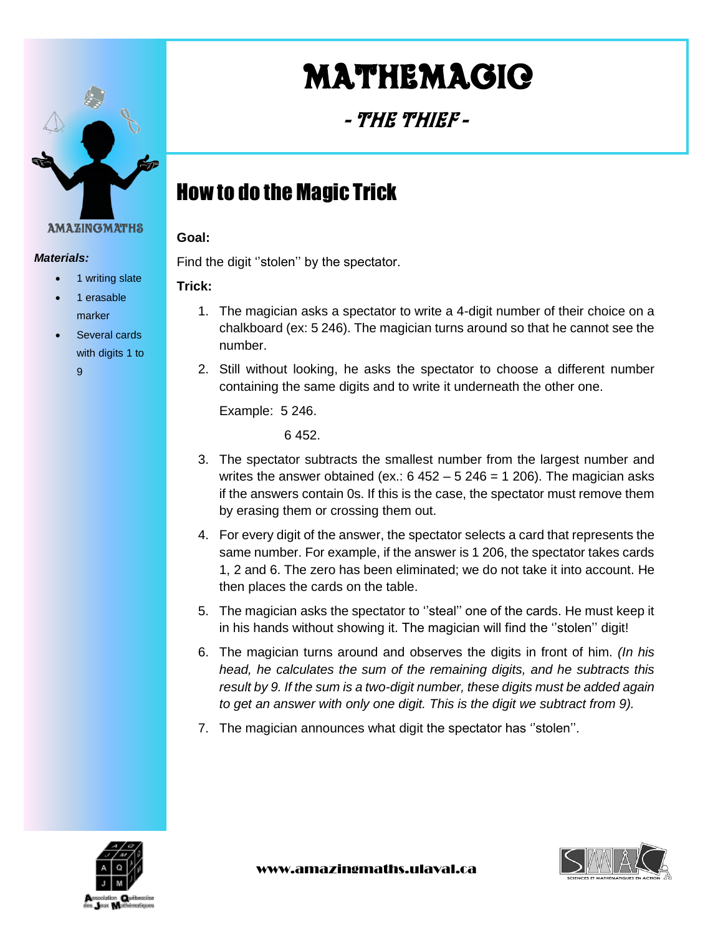

#### *Materials:*

- 1 writing slate
- 1 erasable marker
- Several cards with digits 1 to 9

# Mathemagic

- The Thief -

# How to do the Magic Trick

#### **Goal:**

Find the digit ''stolen'' by the spectator.

#### **Trick:**

- 1. The magician asks a spectator to write a 4-digit number of their choice on a chalkboard (ex: 5 246). The magician turns around so that he cannot see the number.
- 2. Still without looking, he asks the spectator to choose a different number containing the same digits and to write it underneath the other one.

Example: 5 246.

6 452.

- 3. The spectator subtracts the smallest number from the largest number and writes the answer obtained (ex.:  $6452 - 5246 = 1206$ ). The magician asks if the answers contain 0s. If this is the case, the spectator must remove them by erasing them or crossing them out.
- 4. For every digit of the answer, the spectator selects a card that represents the same number. For example, if the answer is 1 206, the spectator takes cards 1, 2 and 6. The zero has been eliminated; we do not take it into account. He then places the cards on the table.
- 5. The magician asks the spectator to ''steal'' one of the cards. He must keep it in his hands without showing it. The magician will find the ''stolen'' digit!
- 6. The magician turns around and observes the digits in front of him. *(In his head, he calculates the sum of the remaining digits, and he subtracts this result by 9. If the sum is a two-digit number, these digits must be added again to get an answer with only one digit. This is the digit we subtract from 9).*
- 7. The magician announces what digit the spectator has ''stolen''.



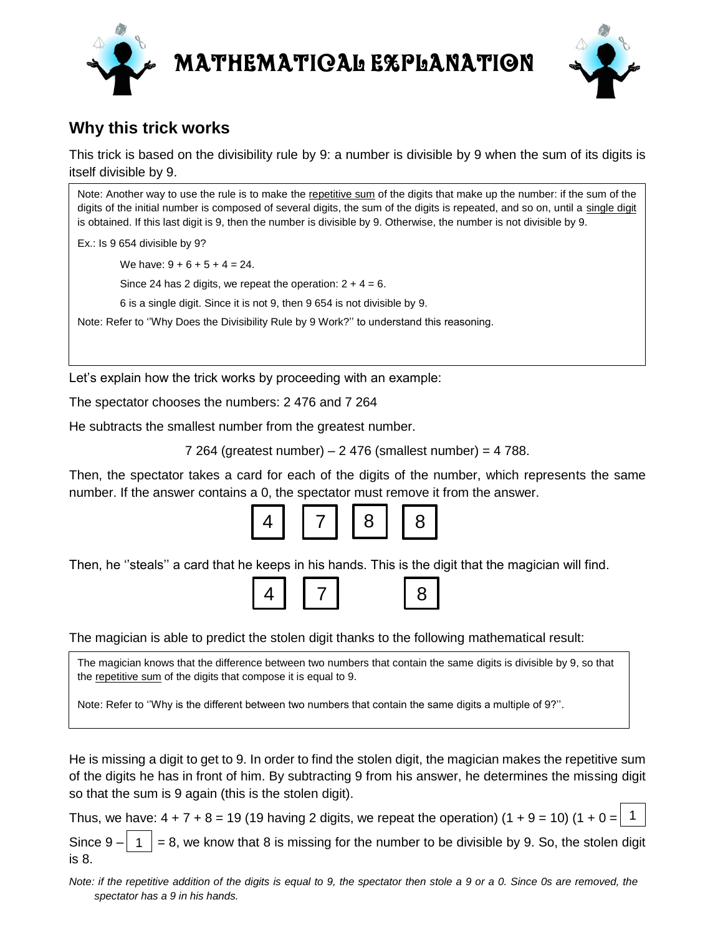



#### **Why this trick works**

This trick is based on the divisibility rule by 9: a number is divisible by 9 when the sum of its digits is itself divisible by 9.

Note: Another way to use the rule is to make the repetitive sum of the digits that make up the number: if the sum of the digits of the initial number is composed of several digits, the sum of the digits is repeated, and so on, until a single digit is obtained. If this last digit is 9, then the number is divisible by 9. Otherwise, the number is not divisible by 9.

Ex.: Is 9 654 divisible by 9?

We have:  $9 + 6 + 5 + 4 = 24$ .

Since 24 has 2 digits, we repeat the operation:  $2 + 4 = 6$ .

6 is a single digit. Since it is not 9, then 9 654 is not divisible by 9.

Note: Refer to ''Why Does the Divisibility Rule by 9 Work?'' to understand this reasoning.

Let's explain how the trick works by proceeding with an example:

The spectator chooses the numbers: 2 476 and 7 264

He subtracts the smallest number from the greatest number.

7 264 (greatest number) – 2 476 (smallest number) = 4 788.

Then, the spectator takes a card for each of the digits of the number, which represents the same number. If the answer contains a 0, the spectator must remove it from the answer.



Then, he ''steals'' a card that he keeps in his hands. This is the digit that the magician will find.



The magician is able to predict the stolen digit thanks to the following mathematical result:

The magician knows that the difference between two numbers that contain the same digits is divisible by 9, so that the repetitive sum of the digits that compose it is equal to 9.

Note: Refer to ''Why is the different between two numbers that contain the same digits a multiple of 9?''.

He is missing a digit to get to 9. In order to find the stolen digit, the magician makes the repetitive sum of the digits he has in front of him. By subtracting 9 from his answer, he determines the missing digit so that the sum is 9 again (this is the stolen digit).

Thus, we have:  $4 + 7 + 8 = 19$  (19 having 2 digits, we repeat the operation)  $(1 + 9 = 10)$  (1 + 0 = 1

Since 9 –  $\vert$  1  $\vert$  = 8, we know that 8 is missing for the number to be divisible by 9. So, the stolen digit is 8. 1

*Note: if the repetitive addition of the digits is equal to 9, the spectator then stole a 9 or a 0. Since 0s are removed, the spectator has a 9 in his hands.*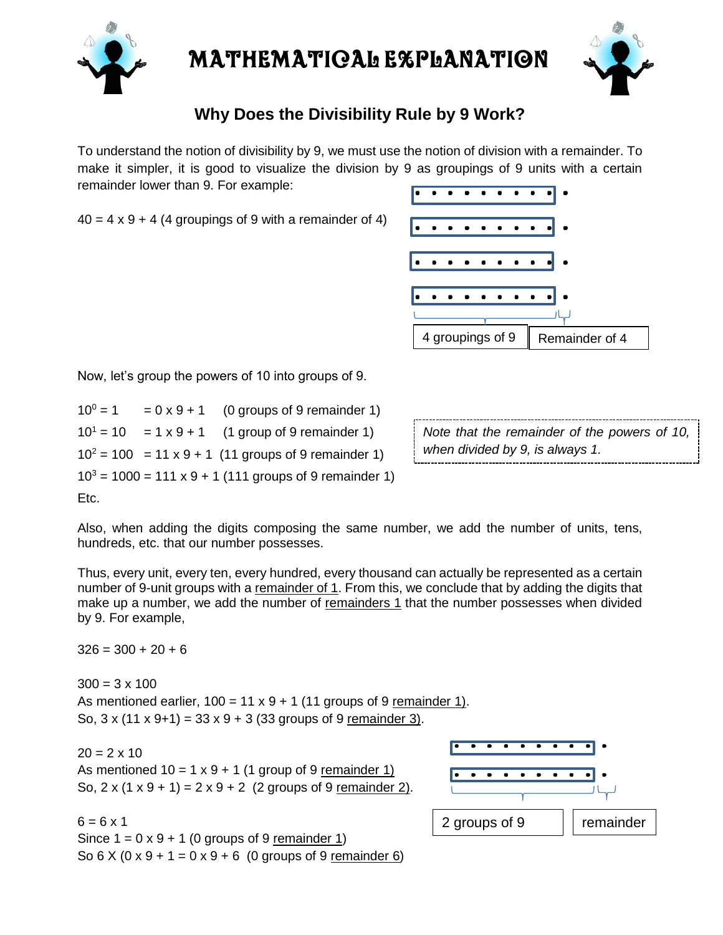



#### **Why Does the Divisibility Rule by 9 Work?**

To understand the notion of divisibility by 9, we must use the notion of division with a remainder. To make it simpler, it is good to visualize the division by 9 as groupings of 9 units with a certain remainder lower than 9. For example:

 $40 = 4 \times 9 + 4$  (4 groupings of 9 with a remainder of 4)



Now, let's group the powers of 10 into groups of 9.

| $10^0 = 1$ | $= 0 \times 9 + 1$ (0 groups of 9 remainder 1)                |
|------------|---------------------------------------------------------------|
|            | $10^1 = 10$ = 1 x 9 + 1 (1 group of 9 remainder 1)            |
|            | $10^2$ = 100 = 11 x 9 + 1 (11 groups of 9 remainder 1)        |
|            | $103 = 1000 = 111 \times 9 + 1$ (111 groups of 9 remainder 1) |

*Note that the remainder of the powers of 10, when divided by 9, is always 1.*

Etc.

Also, when adding the digits composing the same number, we add the number of units, tens, hundreds, etc. that our number possesses.

Thus, every unit, every ten, every hundred, every thousand can actually be represented as a certain number of 9-unit groups with a remainder of 1. From this, we conclude that by adding the digits that make up a number, we add the number of remainders 1 that the number possesses when divided by 9. For example,

 $326 = 300 + 20 + 6$ 

 $300 = 3 \times 100$ As mentioned earlier,  $100 = 11 \times 9 + 1$  (11 groups of 9 remainder 1). So,  $3 \times (11 \times 9 + 1) = 33 \times 9 + 3 (33$  groups of 9 remainder 3).

 $20 = 2 \times 10$ 

As mentioned  $10 = 1 \times 9 + 1$  (1 group of 9 remainder 1) So,  $2 \times (1 \times 9 + 1) = 2 \times 9 + 2$  (2 groups of 9 remainder 2).

 $6 = 6 \times 1$ Since  $1 = 0 \times 9 + 1$  (0 groups of 9 remainder 1) So  $6 \times (0 \times 9 + 1 = 0 \times 9 + 6$  (0 groups of 9 remainder 6)

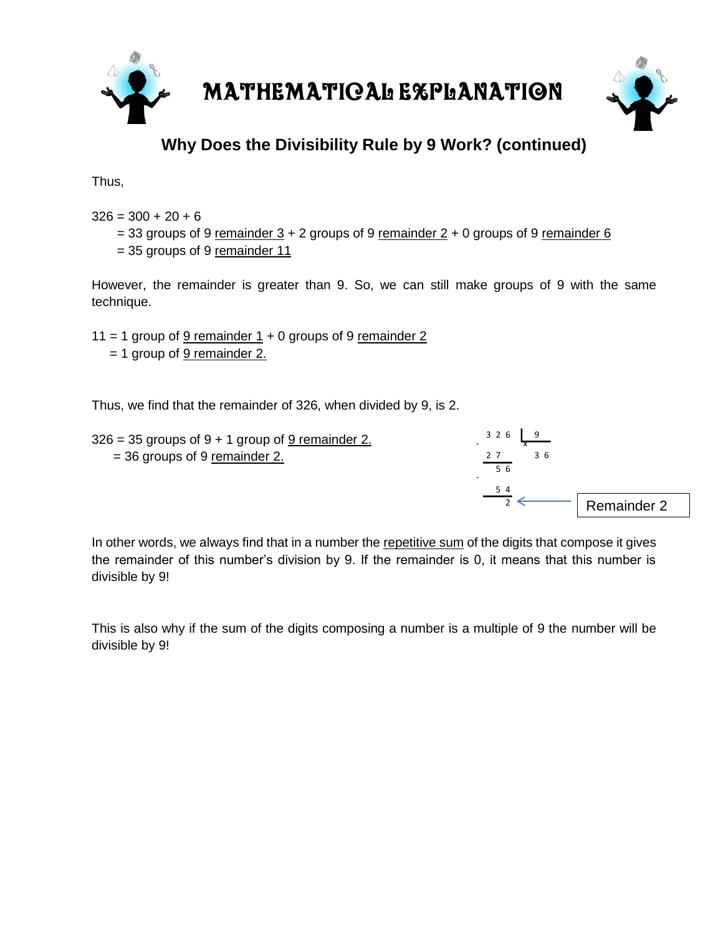



### **Why Does the Divisibility Rule by 9 Work? (continued)**

Thus,

 $326 = 300 + 20 + 6$ 

- $= 33$  groups of 9 remainder  $3 + 2$  groups of 9 remainder  $2 + 0$  groups of 9 remainder 6
- = 35 groups of 9 remainder 11

However, the remainder is greater than 9. So, we can still make groups of 9 with the same technique.

11 = 1 group of  $9$  remainder 1 + 0 groups of 9 remainder 2

= 1 group of 9 remainder 2.

Thus, we find that the remainder of 326, when divided by 9, is 2.

| $326 = 35$ groups of $9 + 1$ group of $9$ remainder 2. | $326$ $9$      |
|--------------------------------------------------------|----------------|
| $=$ 36 groups of 9 remainder 2.                        | -36<br>56<br>۰ |
|                                                        |                |

Remainder 2

 $\frac{1}{2}$   $\leftarrow$ 

In other words, we always find that in a number the repetitive sum of the digits that compose it gives the remainder of this number's division by 9. If the remainder is 0, it means that this number is divisible by 9!

This is also why if the sum of the digits composing a number is a multiple of 9 the number will be divisible by 9!